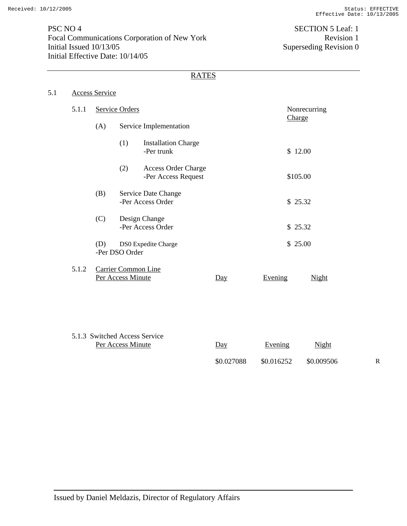PSC NO 4 SECTION 5 Leaf: 1 Focal Communications Corporation of New York Revision 1<br>Initial Issued 10/13/05 Superseding Revision 0 Initial Effective Date: 10/14/05

Superseding Revision 0

# **RATES**

| 5.1 | Access Service |
|-----|----------------|
|     |                |

| 5.1.1 | <b>Service Orders</b>         |                                          |                                                   |     |         | Nonrecurring |
|-------|-------------------------------|------------------------------------------|---------------------------------------------------|-----|---------|--------------|
|       | (A)                           |                                          | Service Implementation                            |     |         | Charge       |
|       |                               | (1)                                      | <b>Installation Charge</b><br>-Per trunk          |     |         | \$12.00      |
|       |                               | (2)                                      | <b>Access Order Charge</b><br>-Per Access Request |     |         | \$105.00     |
|       | (B)                           |                                          | Service Date Change<br>-Per Access Order          |     |         | \$25.32      |
|       | (C)                           |                                          | Design Change<br>-Per Access Order                |     |         | \$25.32      |
|       | (D)                           | -Per DSO Order                           | DS0 Expedite Charge                               |     |         | \$25.00      |
| 5.1.2 |                               | Carrier Common Line<br>Per Access Minute |                                                   | Day | Evening | Night        |
|       |                               |                                          |                                                   |     |         |              |
|       | 5.1.3 Switched Access Service | Per Access Minute                        |                                                   | Day | Evening | Night        |

\$0.027088 \$0.016252 \$0.009506 R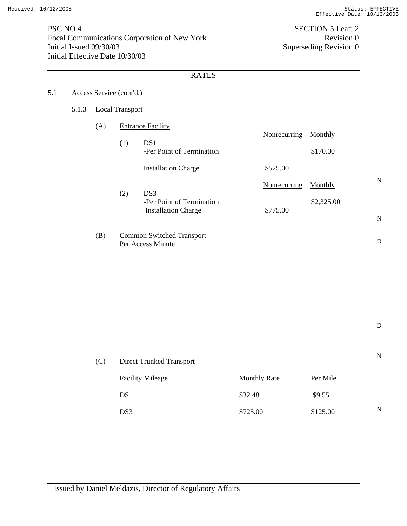N

N

D

D

PSC NO 4 SECTION 5 Leaf: 2 Focal Communications Corporation of New York Revision 0<br>Initial Issued 09/30/03 Superseding Revision 0 Initial Effective Date 10/30/03

Superseding Revision 0

## RATES

# 5.1 Access Service (cont'd.)

#### 5.1.3 Local Transport

| (A) |     | <b>Entrance Facility</b>   |              |            |
|-----|-----|----------------------------|--------------|------------|
|     |     |                            | Nonrecurring | Monthly    |
|     | (1) | DS <sub>1</sub>            |              |            |
|     |     | -Per Point of Termination  |              | \$170.00   |
|     |     | <b>Installation Charge</b> | \$525.00     |            |
|     |     |                            | Nonrecurring | Monthly    |
|     | (2) | DS3                        |              |            |
|     |     | -Per Point of Termination  |              | \$2,325.00 |
|     |     | <b>Installation Charge</b> | \$775.00     |            |

(B) Common Switched Transport Per Access Minute

| (C) | <b>Direct Trunked Transport</b> |                     |          | N |
|-----|---------------------------------|---------------------|----------|---|
|     | <b>Facility Mileage</b>         | <b>Monthly Rate</b> | Per Mile |   |
|     | DS <sub>1</sub>                 | \$32.48             | \$9.55   |   |
|     | DS3                             | \$725.00            | \$125.00 | N |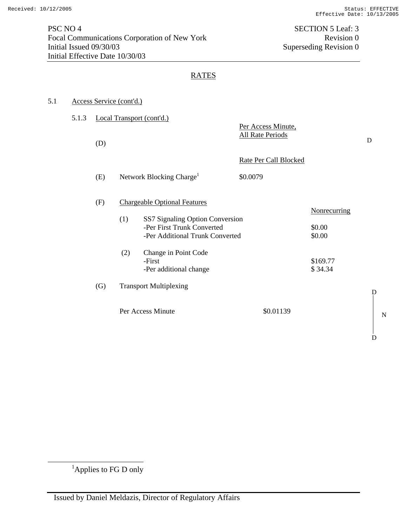| 5.1 |       |     | Access Service (cont'd.) |                                                                                                                                                                           |                                               |                                                     |   |
|-----|-------|-----|--------------------------|---------------------------------------------------------------------------------------------------------------------------------------------------------------------------|-----------------------------------------------|-----------------------------------------------------|---|
|     | 5.1.3 | (D) |                          | Local Transport (cont'd.)                                                                                                                                                 | Per Access Minute,<br><b>All Rate Periods</b> |                                                     | D |
|     |       | (E) |                          | Network Blocking Charge <sup>1</sup>                                                                                                                                      | Rate Per Call Blocked<br>\$0.0079             |                                                     |   |
|     |       | (F) | (1)<br>(2)               | <b>Chargeable Optional Features</b><br>SS7 Signaling Option Conversion<br>-Per First Trunk Converted<br>-Per Additional Trunk Converted<br>Change in Point Code<br>-First |                                               | <b>Nonrecurring</b><br>\$0.00<br>\$0.00<br>\$169.77 |   |
|     |       | (G) |                          | -Per additional change<br><b>Transport Multiplexing</b><br>Per Access Minute                                                                                              | \$0.01139                                     | \$34.34                                             |   |

N

 $\mathbf D$ 

 $\mathbf D$ 

 <sup>1</sup> Applies to FG D only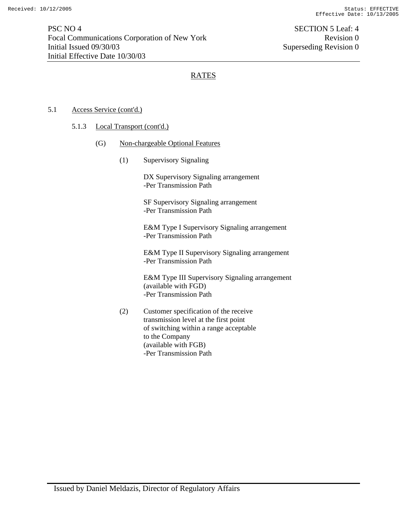### 5.1 Access Service (cont'd.)

#### 5.1.3 Local Transport (cont'd.)

- (G) Non-chargeable Optional Features
	- (1) Supervisory Signaling

DX Supervisory Signaling arrangement -Per Transmission Path

SF Supervisory Signaling arrangement -Per Transmission Path

E&M Type I Supervisory Signaling arrangement -Per Transmission Path

E&M Type II Supervisory Signaling arrangement -Per Transmission Path

E&M Type III Supervisory Signaling arrangement (available with FGD) -Per Transmission Path

(2) Customer specification of the receive transmission level at the first point of switching within a range acceptable to the Company (available with FGB) -Per Transmission Path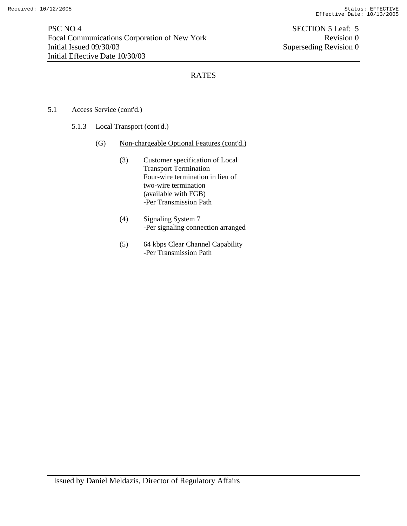## 5.1 Access Service (cont'd.)

### 5.1.3 Local Transport (cont'd.)

- (G) Non-chargeable Optional Features (cont'd.)
	- (3) Customer specification of Local Transport Termination Four-wire termination in lieu of two-wire termination (available with FGB) -Per Transmission Path
	- (4) Signaling System 7 -Per signaling connection arranged
	- (5) 64 kbps Clear Channel Capability -Per Transmission Path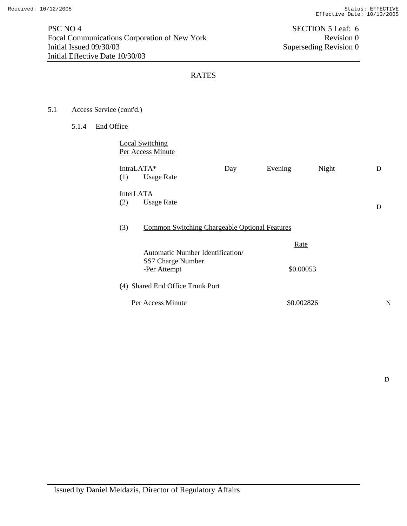### 5.1 Access Service (cont'd.)

5.1.4 End Office

| Local Switching   |  |
|-------------------|--|
| Per Access Minute |  |

| IntraLATA*<br>(1)       | <b>Usage Rate</b>                                                     | $\overline{Day}$ | Evening           | <b>Night</b> |  |
|-------------------------|-----------------------------------------------------------------------|------------------|-------------------|--------------|--|
| <b>InterLATA</b><br>(2) | <b>Usage Rate</b>                                                     |                  |                   |              |  |
| (3)                     | <b>Common Switching Chargeable Optional Features</b>                  |                  |                   |              |  |
|                         | Automatic Number Identification/<br>SS7 Charge Number<br>-Per Attempt |                  | Rate<br>\$0.00053 |              |  |
|                         | (4) Shared End Office Trunk Port                                      |                  |                   |              |  |
|                         | Per Access Minute                                                     |                  | \$0.002826        |              |  |

 $\mathbf D$ 

N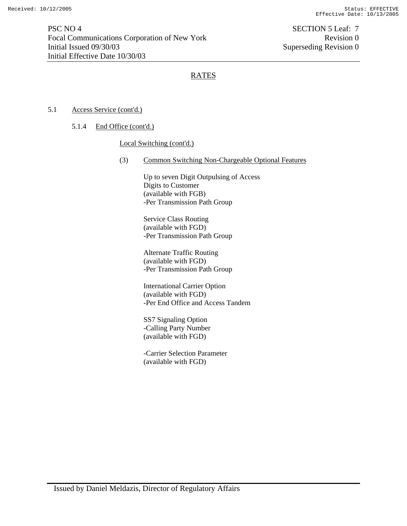### 5.1 Access Service (cont'd.)

5.1.4 End Office (cont'd.)

#### Local Switching (cont'd.)

(3) Common Switching Non-Chargeable Optional Features

Up to seven Digit Outpulsing of Access Digits to Customer (available with FGB) -Per Transmission Path Group

Service Class Routing (available with FGD) -Per Transmission Path Group

Alternate Traffic Routing (available with FGD) -Per Transmission Path Group

International Carrier Option (available with FGD) -Per End Office and Access Tandem

SS7 Signaling Option -Calling Party Number (available with FGD)

-Carrier Selection Parameter (available with FGD)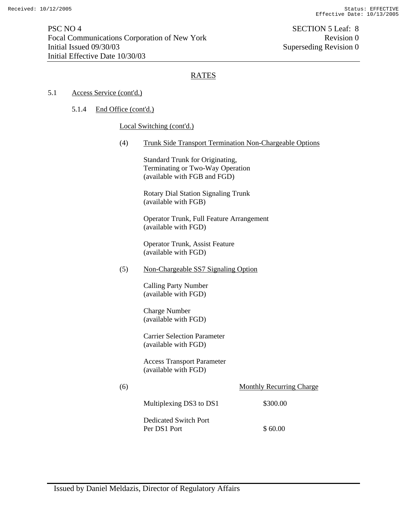#### 5.1 Access Service (cont'd.)

#### 5.1.4 End Office (cont'd.)

#### Local Switching (cont'd.)

(4) Trunk Side Transport Termination Non-Chargeable Options

Standard Trunk for Originating, Terminating or Two-Way Operation (available with FGB and FGD)

Rotary Dial Station Signaling Trunk (available with FGB)

Operator Trunk, Full Feature Arrangement (available with FGD)

Operator Trunk, Assist Feature (available with FGD)

(5) Non-Chargeable SS7 Signaling Option

Calling Party Number (available with FGD)

Charge Number (available with FGD)

Carrier Selection Parameter (available with FGD)

Access Transport Parameter (available with FGD)

| (6) |                         | <b>Monthly Recurring Charge</b> |
|-----|-------------------------|---------------------------------|
|     | Multiplexing DS3 to DS1 | \$300.00                        |
|     | Dedicated Switch Port   |                                 |
|     | Per DS1 Port            | \$60.00                         |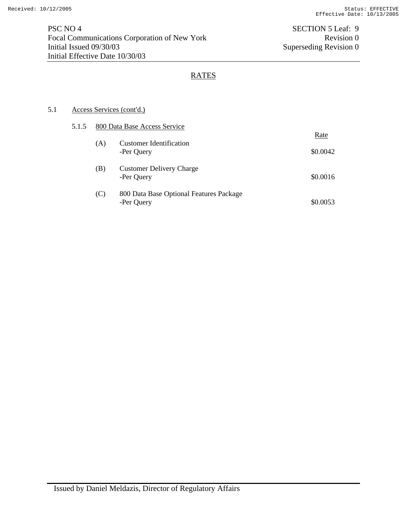## 5.1 Access Services (cont'd.)

| 5.1.5 |     | 800 Data Base Access Service                          |          |
|-------|-----|-------------------------------------------------------|----------|
|       |     |                                                       | Rate     |
|       | (A) | <b>Customer Identification</b><br>-Per Query          | \$0.0042 |
|       | (B) | <b>Customer Delivery Charge</b><br>-Per Query         | \$0.0016 |
|       | (C) | 800 Data Base Optional Features Package<br>-Per Query | \$0.0053 |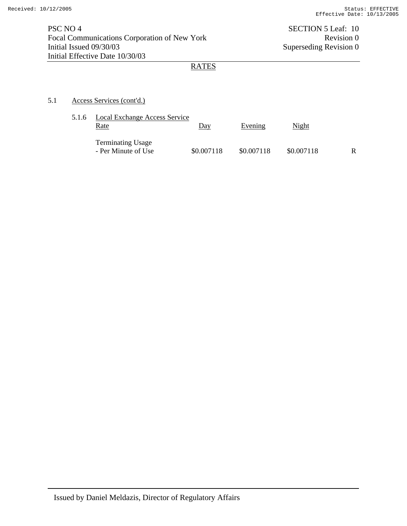## 5.1 Access Services (cont'd.)

| 5.1.6 | Local Exchange Access Service<br>Rate           | Day        | Evening    | Night      |   |
|-------|-------------------------------------------------|------------|------------|------------|---|
|       | <b>Terminating Usage</b><br>- Per Minute of Use | \$0.007118 | \$0.007118 | \$0.007118 | R |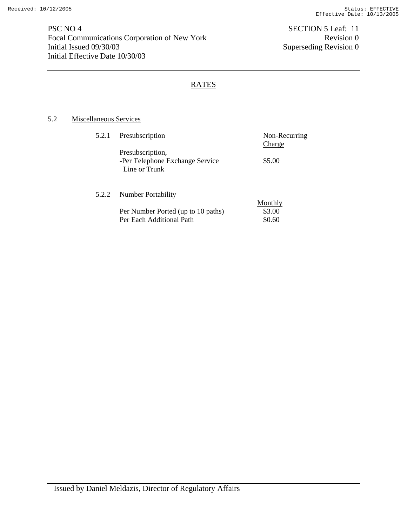PSC NO 4 SECTION 5 Leaf: 11 Focal Communications Corporation of New York Revision 0<br>Initial Issued 09/30/03 Superseding Revision 0 Initial Effective Date 10/30/03

Superseding Revision 0

# RATES

## 5.2 Miscellaneous Services

| 5.2.1 | Presubscription                    | Non-Recurring |
|-------|------------------------------------|---------------|
|       |                                    | <b>Charge</b> |
|       | Presubscription,                   |               |
|       | -Per Telephone Exchange Service    | \$5.00        |
|       | Line or Trunk                      |               |
|       |                                    |               |
|       |                                    |               |
| 5.2.2 | <b>Number Portability</b>          |               |
|       |                                    | Monthly       |
|       | Per Number Ported (up to 10 paths) | \$3.00        |
|       | Per Each Additional Path           | \$0.60        |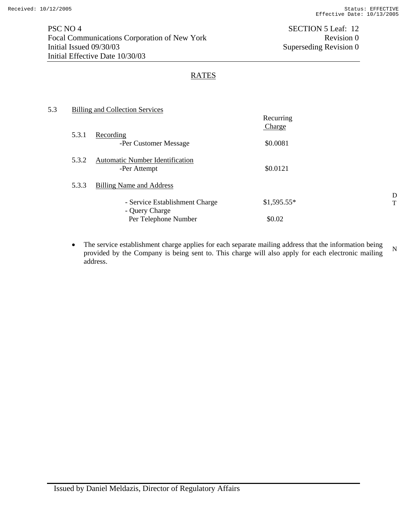| 5.3 |       | Billing and Collection Services                        |                     |        |
|-----|-------|--------------------------------------------------------|---------------------|--------|
|     |       |                                                        | Recurring<br>Charge |        |
|     | 5.3.1 | Recording<br>-Per Customer Message                     | \$0.0081            |        |
|     | 5.3.2 | <b>Automatic Number Identification</b><br>-Per Attempt | \$0.0121            |        |
|     | 5.3.3 | <b>Billing Name and Address</b>                        |                     |        |
|     |       | - Service Establishment Charge<br>- Query Charge       | $$1,595.55*$        | D<br>T |
|     |       | Per Telephone Number                                   | \$0.02              |        |

• The service establishment charge applies for each separate mailing address that the information being provided by the Company is being sent to. This charge will also apply for each electronic mailing address. N